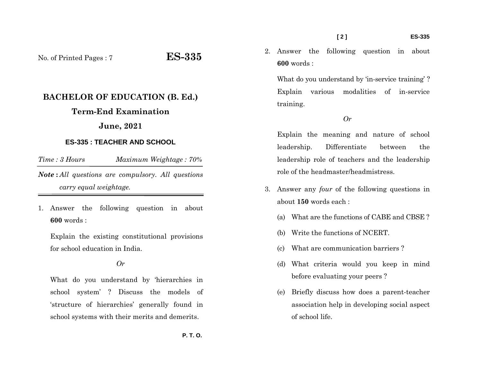**[ 2 ] ES-335** 

No. of Printed Pages : 7 **ES-335**

# **BACHELOR OF EDUCATION (B. Ed.)**

# **Term-End Examination**

## **June, 2021**

#### **ES-335 : TEACHER AND SCHOOL**

*Time : 3 Hours Maximum Weightage : 70% Note* **:** *All questions are compulsory. All questions carry equal weightage.*

1. Answer the following question in about **600** words :

Explain the existing constitutional provisions for school education in India.

### *Or*

What do you understand by 'hierarchies in school system' ? Discuss the models of 'structure of hierarchies' generally found in school systems with their merits and demerits.

2. Answer the following question in about **600** words :

What do you understand by 'in-service training'? Explain various modalities of in-service training.

#### *Or*

Explain the meaning and nature of school leadership. Differentiate between the leadership role of teachers and the leadership role of the headmaster/headmistress.

- 3. Answer any *four* of the following questions in about **150** words each :
	- (a) What are the functions of CABE and CBSE ?
	- (b) Write the functions of NCERT.
	- (c) What are communication barriers ?
	- (d) What criteria would you keep in mind before evaluating your peers ?
	- (e) Briefly discuss how does a parent-teacher association help in developing social aspect of school life.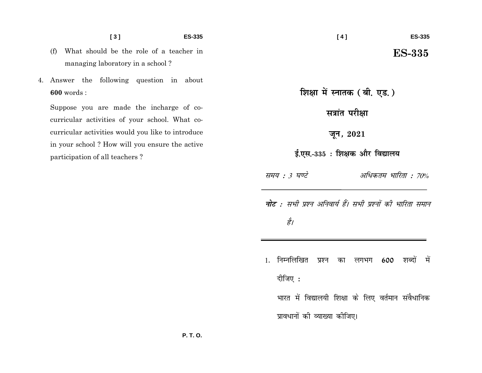- **[ 3 ] ES-335**
- (f) What should be the role of a teacher in managing laboratory in a school ?
- 4. Answer the following question in about **600** words :

Suppose you are made the incharge of cocurricular activities of your school. What cocurricular activities would you like to introduce in your school ? How will you ensure the active participation of all teachers ?

शिक्षा में स्नातक (बी. एड.)

**Haid** परीक्षा

**twu] 2021**

ई.एस.-335 : शिक्षक और विद्यालय

समय : 3 घण्टे अधिकतम भारिता : 70%

**नोट** : सभी प्रश्न अनिवार्य हैं। सभी प्रश्नों की भारिता समान है।

- 1. निम्नलिखित प्रश्न का लगभग 600 शब्दों में दीजिए $:$ 
	- भारत में विद्यालयी शिक्षा के लिए वर्तमान संवैधानिक प्रावधानों की व्याख्या कीजिए।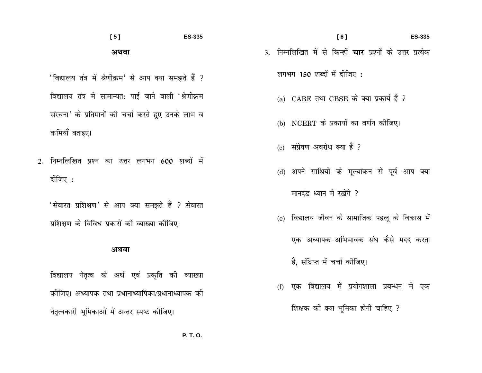### $[5]$ **ES-335** अथवा

'विद्यालय तंत्र में श्रेणीक्रम' से आप क्या समझते हैं ? विद्यालय तंत्र में सामान्यत: पाई जाने वाली 'श्रेणीक्रम संरचना' के प्रतिमानों की चर्चा करते हुए उनके लाभ व कमियाँ बताइए।

2. निम्नलिखित प्रश्न का उत्तर लगभग 600 शब्दों में दीजिए:

'सेवारत प्रशिक्षण' से आप क्या समझते हैं ? सेवारत प्रशिक्षण के विविध प्रकारों की व्याख्या कीजिए।

#### अथवा

विद्यालय नेतृत्व के अर्थ एवं प्रकृति की व्याख्या कोजिए। अध्यापक तथा प्रधानाध्यापिका/प्रधानाध्यापक को नेतृत्वकारी भूमिकाओं में अन्तर स्पष्ट कीजिए।

3. निम्नलिखित में से किन्हीं **चार** प्रश्नों के उत्तर प्रत्येक लगभग 150 शब्दों में दीजिए:

**ES-335** 

 $[6]$ 

- (a) CABE तथा CBSE के क्या प्रकार्य हैं ?
- (b) NCERT के प्रकार्यों का वर्णन कीजिए।
- (c) संप्रेषण अवरोध क्या हैं ?
- (d) अपने साथियों के मूल्यांकन से पूर्व आप क्या

मानदंड ध्यान में रखेंगे ?

(e) विद्यालय जीवन के सामाजिक पहलू के विकास में

एक अध्यापक-अभिभावक संघ कैसे मदद करता

है, संक्षिप्त में चर्चा कोजिए।

(f) एक विद्यालय में प्रयोगशाला प्रबन्धन में एक शिक्षक की क्या भूमिका होनी चाहिए ?